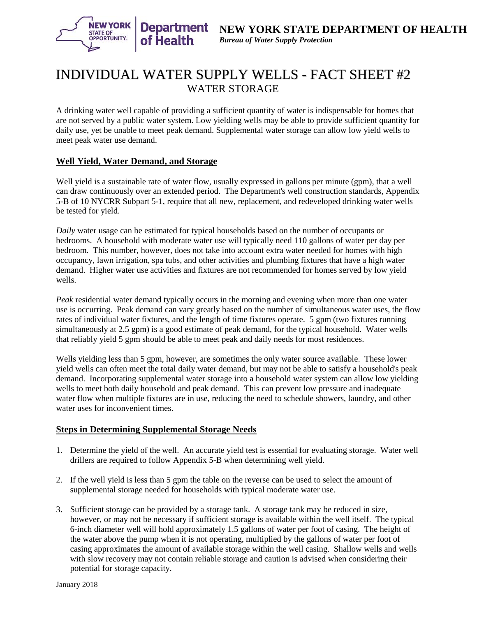

# INDIVIDUAL WATER SUPPLY WELLS - FACT SHEET #2 WATER STORAGE

A drinking water well capable of providing a sufficient quantity of water is indispensable for homes that are not served by a public water system. Low yielding wells may be able to provide sufficient quantity for daily use, yet be unable to meet peak demand. Supplemental water storage can allow low yield wells to meet peak water use demand.

## **Well Yield, Water Demand, and Storage**

Well yield is a sustainable rate of water flow, usually expressed in gallons per minute (gpm), that a well can draw continuously over an extended period. The Department's well construction standards, Appendix 5-B of 10 NYCRR Subpart 5-1, require that all new, replacement, and redeveloped drinking water wells be tested for yield.

*Daily* water usage can be estimated for typical households based on the number of occupants or bedrooms. A household with moderate water use will typically need 110 gallons of water per day per bedroom. This number, however, does not take into account extra water needed for homes with high occupancy, lawn irrigation, spa tubs, and other activities and plumbing fixtures that have a high water demand. Higher water use activities and fixtures are not recommended for homes served by low yield wells.

*Peak* residential water demand typically occurs in the morning and evening when more than one water use is occurring. Peak demand can vary greatly based on the number of simultaneous water uses, the flow rates of individual water fixtures, and the length of time fixtures operate. 5 gpm (two fixtures running simultaneously at 2.5 gpm) is a good estimate of peak demand, for the typical household. Water wells that reliably yield 5 gpm should be able to meet peak and daily needs for most residences.

Wells yielding less than 5 gpm, however, are sometimes the only water source available. These lower yield wells can often meet the total daily water demand, but may not be able to satisfy a household's peak demand. Incorporating supplemental water storage into a household water system can allow low yielding wells to meet both daily household and peak demand. This can prevent low pressure and inadequate water flow when multiple fixtures are in use, reducing the need to schedule showers, laundry, and other water uses for inconvenient times.

#### **Steps in Determining Supplemental Storage Needs**

- 1. Determine the yield of the well. An accurate yield test is essential for evaluating storage. Water well drillers are required to follow Appendix 5-B when determining well yield.
- 2. If the well yield is less than 5 gpm the table on the reverse can be used to select the amount of supplemental storage needed for households with typical moderate water use.
- 3. Sufficient storage can be provided by a storage tank. A storage tank may be reduced in size, however, or may not be necessary if sufficient storage is available within the well itself. The typical 6-inch diameter well will hold approximately 1.5 gallons of water per foot of casing. The height of the water above the pump when it is not operating, multiplied by the gallons of water per foot of casing approximates the amount of available storage within the well casing. Shallow wells and wells with slow recovery may not contain reliable storage and caution is advised when considering their potential for storage capacity.